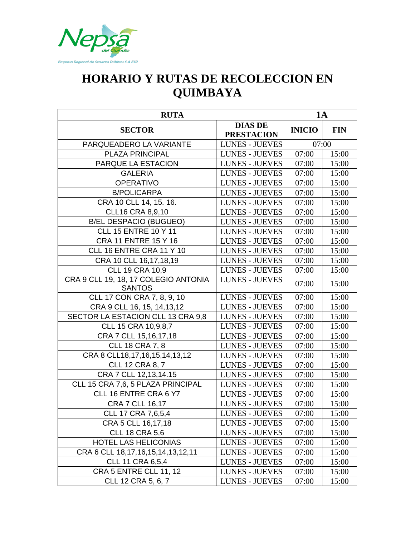

## **HORARIO Y RUTAS DE RECOLECCION EN QUIMBAYA**

| <b>RUTA</b>                                           |                                     | <b>1A</b>     |            |
|-------------------------------------------------------|-------------------------------------|---------------|------------|
| <b>SECTOR</b>                                         | <b>DIAS DE</b><br><b>PRESTACION</b> | <b>INICIO</b> | <b>FIN</b> |
| PARQUEADERO LA VARIANTE                               | <b>LUNES - JUEVES</b>               | 07:00         |            |
| PLAZA PRINCIPAL                                       | <b>LUNES - JUEVES</b>               | 07:00         | 15:00      |
| PARQUE LA ESTACION                                    | <b>LUNES - JUEVES</b>               | 07:00         | 15:00      |
| <b>GALERIA</b>                                        | <b>LUNES - JUEVES</b>               | 07:00         | 15:00      |
| <b>OPERATIVO</b>                                      | <b>LUNES - JUEVES</b>               | 07:00         | 15:00      |
| <b>B/POLICARPA</b>                                    | <b>LUNES - JUEVES</b>               | 07:00         | 15:00      |
| CRA 10 CLL 14, 15. 16.                                | <b>LUNES - JUEVES</b>               | 07:00         | 15:00      |
| <b>CLL16 CRA 8,9,10</b>                               | <b>LUNES - JUEVES</b>               | 07:00         | 15:00      |
| <b>B/EL DESPACIO (BUGUEO)</b>                         | <b>LUNES - JUEVES</b>               | 07:00         | 15:00      |
| <b>CLL 15 ENTRE 10 Y 11</b>                           | <b>LUNES - JUEVES</b>               | 07:00         | 15:00      |
| <b>CRA 11 ENTRE 15 Y 16</b>                           | <b>LUNES - JUEVES</b>               | 07:00         | 15:00      |
| CLL 16 ENTRE CRA 11 Y 10                              | <b>LUNES - JUEVES</b>               | 07:00         | 15:00      |
| CRA 10 CLL 16,17,18,19                                | <b>LUNES - JUEVES</b>               | 07:00         | 15:00      |
| <b>CLL 19 CRA 10,9</b>                                | <b>LUNES - JUEVES</b>               | 07:00         | 15:00      |
| CRA 9 CLL 19, 18, 17 COLEGIO ANTONIA<br><b>SANTOS</b> | <b>LUNES - JUEVES</b>               | 07:00         | 15:00      |
| CLL 17 CON CRA 7, 8, 9, 10                            | <b>LUNES - JUEVES</b>               | 07:00         | 15:00      |
| CRA 9 CLL 16, 15, 14, 13, 12                          | <b>LUNES - JUEVES</b>               | 07:00         | 15:00      |
| SECTOR LA ESTACION CLL 13 CRA 9,8                     | <b>LUNES - JUEVES</b>               | 07:00         | 15:00      |
| CLL 15 CRA 10,9,8,7                                   | <b>LUNES - JUEVES</b>               | 07:00         | 15:00      |
| CRA 7 CLL 15,16,17,18                                 | <b>LUNES - JUEVES</b>               | 07:00         | 15:00      |
| <b>CLL 18 CRA 7, 8</b>                                | <b>LUNES - JUEVES</b>               | 07:00         | 15:00      |
| CRA 8 CLL18, 17, 16, 15, 14, 13, 12                   | <b>LUNES - JUEVES</b>               | 07:00         | 15:00      |
| <b>CLL 12 CRA 8, 7</b>                                | <b>LUNES - JUEVES</b>               | 07:00         | 15:00      |
| CRA 7 CLL 12,13,14.15                                 | <b>LUNES - JUEVES</b>               | 07:00         | 15:00      |
| CLL 15 CRA 7,6, 5 PLAZA PRINCIPAL                     | <b>LUNES - JUEVES</b>               | 07:00         | 15:00      |
| CLL 16 ENTRE CRA 6 Y7                                 | <b>LUNES - JUEVES</b>               | 07:00         | 15:00      |
| CRA 7 CLL 16,17                                       | <b>LUNES - JUEVES</b>               | 07:00         | 15:00      |
| CLL 17 CRA 7,6,5,4                                    | <b>LUNES - JUEVES</b>               | 07:00         | 15:00      |
| CRA 5 CLL 16,17,18                                    | <b>LUNES - JUEVES</b>               | 07:00         | 15:00      |
| <b>CLL 18 CRA 5,6</b>                                 | LUNES - JUEVES                      | 07:00         | 15:00      |
| <b>HOTEL LAS HELICONIAS</b>                           | <b>LUNES - JUEVES</b>               | 07:00         | 15:00      |
| CRA 6 CLL 18,17,16,15,14,13,12,11                     | <b>LUNES - JUEVES</b>               | 07:00         | 15:00      |
| <b>CLL 11 CRA 6,5,4</b>                               | <b>LUNES - JUEVES</b>               | 07:00         | 15:00      |
| <b>CRA 5 ENTRE CLL 11, 12</b>                         | <b>LUNES - JUEVES</b>               | 07:00         | 15:00      |
| CLL 12 CRA 5, 6, 7                                    | <b>LUNES - JUEVES</b>               | 07:00         | 15:00      |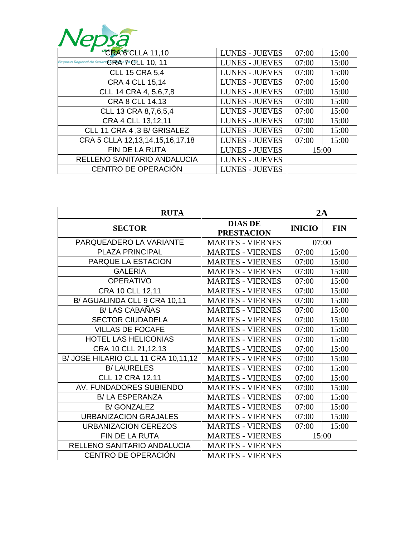

| <b>CRACCLLA 11,10</b>                                                             | <b>LUNES - JUEVES</b> | 07:00 | 15:00 |
|-----------------------------------------------------------------------------------|-----------------------|-------|-------|
| Empresa Regional de Servicia $\mathbb{PR}$ As $\mathbb{Z}$ $\mathbb{CL}$ $10, 11$ | <b>LUNES - JUEVES</b> | 07:00 | 15:00 |
| <b>CLL 15 CRA 5,4</b>                                                             | <b>LUNES - JUEVES</b> | 07:00 | 15:00 |
| CRA 4 CLL 15,14                                                                   | <b>LUNES - JUEVES</b> | 07:00 | 15:00 |
| CLL 14 CRA 4, 5,6,7,8                                                             | <b>LUNES - JUEVES</b> | 07:00 | 15:00 |
| CRA 8 CLL 14,13                                                                   | <b>LUNES - JUEVES</b> | 07:00 | 15:00 |
| CLL 13 CRA 8,7,6,5,4                                                              | <b>LUNES - JUEVES</b> | 07:00 | 15:00 |
| CRA 4 CLL 13,12,11                                                                | <b>LUNES - JUEVES</b> | 07:00 | 15:00 |
| CLL 11 CRA 4 ,3 B/ GRISALEZ                                                       | <b>LUNES - JUEVES</b> | 07:00 | 15:00 |
| CRA 5 CLLA 12,13,14,15,16,17,18                                                   | <b>LUNES - JUEVES</b> | 07:00 | 15:00 |
| FIN DE LA RUTA                                                                    | <b>LUNES - JUEVES</b> | 15:00 |       |
| RELLENO SANITARIO ANDALUCIA                                                       | <b>LUNES - JUEVES</b> |       |       |
| CENTRO DE OPERACIÓN                                                               | <b>LUNES - JUEVES</b> |       |       |

| <b>RUTA</b>                         |                                     | 2A            |            |
|-------------------------------------|-------------------------------------|---------------|------------|
| <b>SECTOR</b>                       | <b>DIAS DE</b><br><b>PRESTACION</b> | <b>INICIO</b> | <b>FIN</b> |
| PARQUEADERO LA VARIANTE             | <b>MARTES - VIERNES</b>             | 07:00         |            |
| <b>PLAZA PRINCIPAL</b>              | <b>MARTES - VIERNES</b>             | 07:00         | 15:00      |
| PARQUE LA ESTACION                  | <b>MARTES - VIERNES</b>             | 07:00         | 15:00      |
| <b>GALERIA</b>                      | <b>MARTES - VIERNES</b>             | 07:00         | 15:00      |
| <b>OPERATIVO</b>                    | <b>MARTES - VIERNES</b>             | 07:00         | 15:00      |
| CRA 10 CLL 12,11                    | <b>MARTES - VIERNES</b>             | 07:00         | 15:00      |
| B/ AGUALINDA CLL 9 CRA 10,11        | <b>MARTES - VIERNES</b>             | 07:00         | 15:00      |
| <b>B/ LAS CABAÑAS</b>               | <b>MARTES - VIERNES</b>             | 07:00         | 15:00      |
| <b>SECTOR CIUDADELA</b>             | <b>MARTES - VIERNES</b>             | 07:00         | 15:00      |
| <b>VILLAS DE FOCAFE</b>             | <b>MARTES - VIERNES</b>             | 07:00         | 15:00      |
| <b>HOTEL LAS HELICONIAS</b>         | <b>MARTES - VIERNES</b>             | 07:00         | 15:00      |
| CRA 10 CLL 21,12,13                 | <b>MARTES - VIERNES</b>             | 07:00         | 15:00      |
| B/ JOSE HILARIO CLL 11 CRA 10,11,12 | <b>MARTES - VIERNES</b>             | 07:00         | 15:00      |
| <b>B/LAURELES</b>                   | <b>MARTES - VIERNES</b>             | 07:00         | 15:00      |
| <b>CLL 12 CRA 12,11</b>             | <b>MARTES - VIERNES</b>             | 07:00         | 15:00      |
| AV. FUNDADORES SUBIENDO             | <b>MARTES - VIERNES</b>             | 07:00         | 15:00      |
| <b>B/LA ESPERANZA</b>               | <b>MARTES - VIERNES</b>             | 07:00         | 15:00      |
| <b>B/GONZALEZ</b>                   | <b>MARTES - VIERNES</b>             | 07:00         | 15:00      |
| <b>URBANIZACION GRAJALES</b>        | <b>MARTES - VIERNES</b>             | 07:00         | 15:00      |
| <b>URBANIZACION CEREZOS</b>         | <b>MARTES - VIERNES</b>             | 07:00         | 15:00      |
| <b>FIN DE LA RUTA</b>               | <b>MARTES - VIERNES</b>             | 15:00         |            |
| RELLENO SANITARIO ANDALUCIA         | <b>MARTES - VIERNES</b>             |               |            |
| CENTRO DE OPERACIÓN                 | <b>MARTES - VIERNES</b>             |               |            |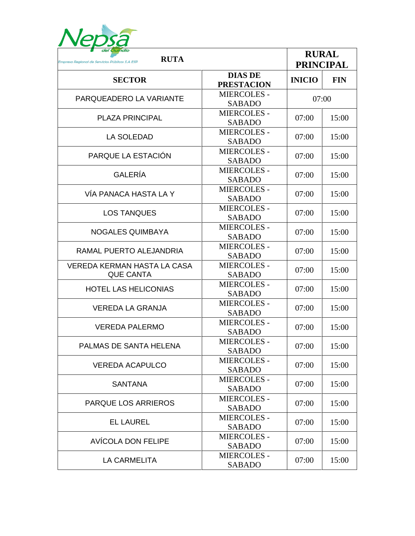

| del Quindío<br><b>RUTA</b><br>Empresa Regional de Servicios Públicos S.A ESP |                                     |               | <b>RURAL</b><br><b>PRINCIPAL</b> |  |
|------------------------------------------------------------------------------|-------------------------------------|---------------|----------------------------------|--|
| <b>SECTOR</b>                                                                | <b>DIAS DE</b><br><b>PRESTACION</b> | <b>INICIO</b> | <b>FIN</b>                       |  |
| PARQUEADERO LA VARIANTE                                                      | <b>MIERCOLES -</b><br><b>SABADO</b> | 07:00         |                                  |  |
| <b>PLAZA PRINCIPAL</b>                                                       | <b>MIERCOLES -</b><br><b>SABADO</b> | 07:00         | 15:00                            |  |
| <b>LA SOLEDAD</b>                                                            | <b>MIERCOLES -</b><br><b>SABADO</b> | 07:00         | 15:00                            |  |
| PARQUE LA ESTACIÓN                                                           | <b>MIERCOLES -</b><br><b>SABADO</b> | 07:00         | 15:00                            |  |
| <b>GALERÍA</b>                                                               | <b>MIERCOLES -</b><br><b>SABADO</b> | 07:00         | 15:00                            |  |
| VÍA PANACA HASTA LA Y                                                        | <b>MIERCOLES -</b><br><b>SABADO</b> | 07:00         | 15:00                            |  |
| <b>LOS TANQUES</b>                                                           | <b>MIERCOLES -</b><br><b>SABADO</b> | 07:00         | 15:00                            |  |
| <b>NOGALES QUIMBAYA</b>                                                      | <b>MIERCOLES -</b><br><b>SABADO</b> | 07:00         | 15:00                            |  |
| RAMAL PUERTO ALEJANDRIA                                                      | <b>MIERCOLES -</b><br><b>SABADO</b> | 07:00         | 15:00                            |  |
| <b>VEREDA KERMAN HASTA LA CASA</b><br><b>QUE CANTA</b>                       | <b>MIERCOLES -</b><br><b>SABADO</b> | 07:00         | 15:00                            |  |
| <b>HOTEL LAS HELICONIAS</b>                                                  | <b>MIERCOLES -</b><br><b>SABADO</b> | 07:00         | 15:00                            |  |
| <b>VEREDA LA GRANJA</b>                                                      | <b>MIERCOLES -</b><br><b>SABADO</b> | 07:00         | 15:00                            |  |
| <b>VEREDA PALERMO</b>                                                        | <b>MIERCOLES -</b><br><b>SABADO</b> | 07:00         | 15:00                            |  |
| PALMAS DE SANTA HELENA                                                       | <b>MIERCOLES -</b><br><b>SABADO</b> | 07:00         | 15:00                            |  |
| <b>VEREDA ACAPULCO</b>                                                       | <b>MIERCOLES -</b><br><b>SABADO</b> | 07:00         | 15:00                            |  |
| <b>SANTANA</b>                                                               | <b>MIERCOLES -</b><br><b>SABADO</b> | 07:00         | 15:00                            |  |
| <b>PARQUE LOS ARRIEROS</b>                                                   | <b>MIERCOLES -</b><br><b>SABADO</b> | 07:00         | 15:00                            |  |
| <b>EL LAUREL</b>                                                             | <b>MIERCOLES -</b><br><b>SABADO</b> | 07:00         | 15:00                            |  |
| AVÍCOLA DON FELIPE                                                           | <b>MIERCOLES -</b><br><b>SABADO</b> | 07:00         | 15:00                            |  |
| LA CARMELITA                                                                 | <b>MIERCOLES -</b><br><b>SABADO</b> | 07:00         | 15:00                            |  |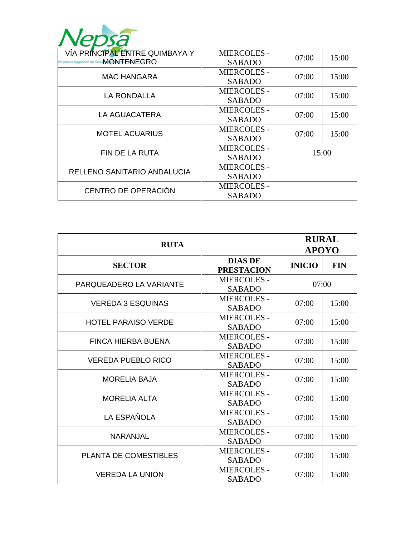

| VÍA PRINCÍPAL ÉNTRE QUIMBAYA Y<br>Empresa Regional de Servi <b>MONTENEGRO</b> | <b>MIERCOLES -</b><br><b>SABADO</b> | 07:00 | 15:00 |
|-------------------------------------------------------------------------------|-------------------------------------|-------|-------|
|                                                                               | <b>MIERCOLES -</b>                  | 07:00 | 15:00 |
| <b>MAC HANGARA</b>                                                            | <b>SABADO</b>                       |       |       |
|                                                                               | <b>MIERCOLES -</b>                  | 07:00 | 15:00 |
| <b>LA RONDALLA</b>                                                            | <b>SABADO</b>                       |       |       |
|                                                                               | <b>MIERCOLES -</b>                  | 07:00 | 15:00 |
| LA AGUACATERA                                                                 | <b>SABADO</b>                       |       |       |
| <b>MOTEL ACUARIUS</b>                                                         | <b>MIERCOLES -</b>                  | 07:00 | 15:00 |
|                                                                               | <b>SABADO</b>                       |       |       |
| <b>FIN DE LA RUTA</b>                                                         | <b>MIERCOLES -</b>                  | 15:00 |       |
|                                                                               | <b>SABADO</b>                       |       |       |
| RELLENO SANITARIO ANDALUCIA                                                   | <b>MIERCOLES -</b>                  |       |       |
|                                                                               | <b>SABADO</b>                       |       |       |
| CENTRO DE OPERACIÓN                                                           | <b>MIERCOLES -</b>                  |       |       |
|                                                                               | <b>SABADO</b>                       |       |       |

| <b>RUTA</b>                  |                                     | <b>RURAL</b><br><b>APOYO</b> |            |
|------------------------------|-------------------------------------|------------------------------|------------|
| <b>SECTOR</b>                | <b>DIAS DE</b><br><b>PRESTACION</b> | <b>INICIO</b>                | <b>FIN</b> |
| PARQUEADERO LA VARIANTE      | <b>MIERCOLES -</b><br><b>SABADO</b> | 07:00                        |            |
| <b>VEREDA 3 ESQUINAS</b>     | <b>MIERCOLES -</b><br><b>SABADO</b> | 07:00                        | 15:00      |
| <b>HOTEL PARAISO VERDE</b>   | <b>MIERCOLES -</b><br><b>SABADO</b> | 07:00                        | 15:00      |
| <b>FINCA HIERBA BUENA</b>    | <b>MIERCOLES -</b><br><b>SABADO</b> | 07:00                        | 15:00      |
| <b>VEREDA PUEBLO RICO</b>    | <b>MIERCOLES -</b><br><b>SABADO</b> | 07:00                        | 15:00      |
| <b>MORELIA BAJA</b>          | <b>MIERCOLES -</b><br><b>SABADO</b> | 07:00                        | 15:00      |
| <b>MORELIA ALTA</b>          | <b>MIERCOLES -</b><br><b>SABADO</b> | 07:00                        | 15:00      |
| LA ESPAÑOLA                  | <b>MIERCOLES -</b><br><b>SABADO</b> | 07:00                        | 15:00      |
| <b>NARANJAL</b>              | <b>MIERCOLES -</b><br><b>SABADO</b> | 07:00                        | 15:00      |
| <b>PLANTA DE COMESTIBLES</b> | <b>MIERCOLES -</b><br><b>SABADO</b> | 07:00                        | 15:00      |
| VEREDA LA UNIÓN              | <b>MIERCOLES -</b><br><b>SABADO</b> | 07:00                        | 15:00      |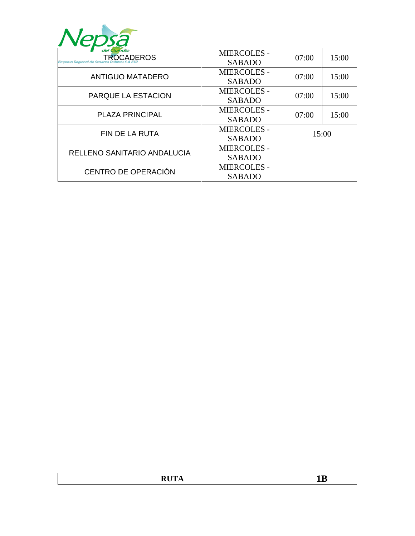

| del Quindío<br><b>TROCADEROS</b><br>Empresa Regional de Servicios | <b>MIERCOLES -</b><br><b>SABADO</b> | 07:00 | 15:00 |
|-------------------------------------------------------------------|-------------------------------------|-------|-------|
|                                                                   | <b>MIERCOLES -</b>                  | 07:00 | 15:00 |
| <b>ANTIGUO MATADERO</b>                                           | <b>SABADO</b>                       |       |       |
| PARQUE LA ESTACION                                                | <b>MIERCOLES -</b>                  | 07:00 | 15:00 |
|                                                                   | <b>SABADO</b>                       |       |       |
| <b>PLAZA PRINCIPAL</b>                                            | <b>MIERCOLES -</b>                  | 07:00 | 15:00 |
|                                                                   | <b>SABADO</b>                       |       |       |
| <b>FIN DE LA RUTA</b>                                             | <b>MIERCOLES -</b>                  | 15:00 |       |
|                                                                   | <b>SABADO</b>                       |       |       |
| RELLENO SANITARIO ANDALUCIA                                       | <b>MIERCOLES -</b>                  |       |       |
|                                                                   | <b>SABADO</b>                       |       |       |
| CENTRO DE OPERACIÓN                                               | <b>MIERCOLES -</b>                  |       |       |
|                                                                   | <b>SABADO</b>                       |       |       |

| $\sim$ $\sim$ $\sim$ $\sim$ |  |
|-----------------------------|--|
|                             |  |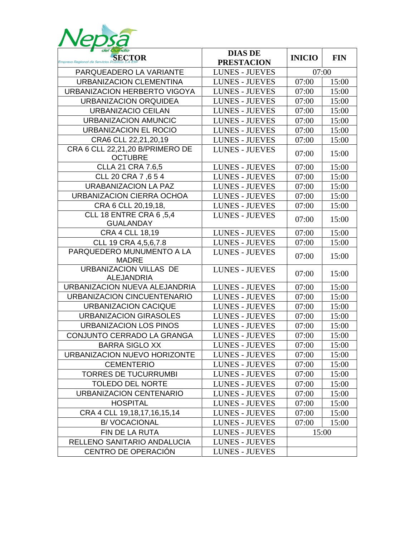

| del Quindío<br>SECTOR                              | <b>DIAS DE</b>        | <b>INICIO</b> | <b>FIN</b> |
|----------------------------------------------------|-----------------------|---------------|------------|
|                                                    | <b>PRESTACION</b>     |               |            |
| PARQUEADERO LA VARIANTE                            | <b>LUNES - JUEVES</b> | 07:00         |            |
| <b>URBANIZACION CLEMENTINA</b>                     | <b>LUNES - JUEVES</b> | 07:00         | 15:00      |
| URBANIZACION HERBERTO VIGOYA                       | <b>LUNES - JUEVES</b> | 07:00         | 15:00      |
| URBANIZACION ORQUIDEA                              | <b>LUNES - JUEVES</b> | 07:00         | 15:00      |
| URBANIZACIO CEILAN                                 | <b>LUNES - JUEVES</b> | 07:00         | 15:00      |
| <b>URBANIZACION AMUNCIC</b>                        | <b>LUNES - JUEVES</b> | 07:00         | 15:00      |
| <b>URBANIZACION EL ROCIO</b>                       | <b>LUNES - JUEVES</b> | 07:00         | 15:00      |
| CRA6 CLL 22,21,20,19                               | <b>LUNES - JUEVES</b> | 07:00         | 15:00      |
| CRA 6 CLL 22,21,20 B/PRIMERO DE<br><b>OCTUBRE</b>  | <b>LUNES - JUEVES</b> | 07:00         | 15:00      |
| <b>CLLA 21 CRA 7.6,5</b>                           | <b>LUNES - JUEVES</b> | 07:00         | 15:00      |
| CLL 20 CRA 7,654                                   | <b>LUNES - JUEVES</b> | 07:00         | 15:00      |
| <b>URABANIZACION LA PAZ</b>                        | <b>LUNES - JUEVES</b> | 07:00         | 15:00      |
| URBANIZACION CIERRA OCHOA                          | <b>LUNES - JUEVES</b> | 07:00         | 15:00      |
| CRA 6 CLL 20,19,18,                                | <b>LUNES - JUEVES</b> | 07:00         | 15:00      |
| <b>CLL 18 ENTRE CRA 6,5,4</b><br><b>GUALANDAY</b>  | <b>LUNES - JUEVES</b> | 07:00         | 15:00      |
| <b>CRA 4 CLL 18,19</b>                             | <b>LUNES - JUEVES</b> | 07:00         | 15:00      |
| CLL 19 CRA 4,5,6,7.8                               | <b>LUNES - JUEVES</b> | 07:00         | 15:00      |
| PARQUEDERO MUNUMENTO A LA<br><b>MADRE</b>          | <b>LUNES - JUEVES</b> | 07:00         | 15:00      |
| <b>URBANIZACION VILLAS DE</b><br><b>ALEJANDRIA</b> | <b>LUNES - JUEVES</b> | 07:00         | 15:00      |
| URBANIZACION NUEVA ALEJANDRIA                      | <b>LUNES - JUEVES</b> | 07:00         | 15:00      |
| URBANIZACION CINCUENTENARIO                        | <b>LUNES - JUEVES</b> | 07:00         | 15:00      |
| <b>URBANIZACION CACIQUE</b>                        | <b>LUNES - JUEVES</b> | 07:00         | 15:00      |
| <b>URBANIZACION GIRASOLES</b>                      | <b>LUNES - JUEVES</b> | 07:00         | 15:00      |
| <b>URBANIZACION LOS PINOS</b>                      | <b>LUNES - JUEVES</b> | 07:00         | 15:00      |
| CONJUNTO CERRADO LA GRANGA                         | <b>LUNES - JUEVES</b> | 07:00         | 15:00      |
| <b>BARRA SIGLO XX</b>                              | <b>LUNES - JUEVES</b> | 07:00         | 15:00      |
| URBANIZACION NUEVO HORIZONTE                       | <b>LUNES - JUEVES</b> | 07:00         | 15:00      |
| <b>CEMENTERIO</b>                                  | <b>LUNES - JUEVES</b> | 07:00         | 15:00      |
| <b>TORRES DE TUCURRUMBI</b>                        | <b>LUNES - JUEVES</b> | 07:00         | 15:00      |
| <b>TOLEDO DEL NORTE</b>                            | <b>LUNES - JUEVES</b> | 07:00         | 15:00      |
| URBANIZACION CENTENARIO                            | <b>LUNES - JUEVES</b> | 07:00         | 15:00      |
| <b>HOSPITAL</b>                                    | <b>LUNES - JUEVES</b> | 07:00         | 15:00      |
| CRA 4 CLL 19, 18, 17, 16, 15, 14                   | <b>LUNES - JUEVES</b> | 07:00         | 15:00      |
| <b>B/VOCACIONAL</b>                                | <b>LUNES - JUEVES</b> | 07:00         | 15:00      |
| FIN DE LA RUTA                                     | <b>LUNES - JUEVES</b> | 15:00         |            |
| RELLENO SANITARIO ANDALUCIA                        | <b>LUNES - JUEVES</b> |               |            |
| CENTRO DE OPERACIÓN                                | <b>LUNES - JUEVES</b> |               |            |